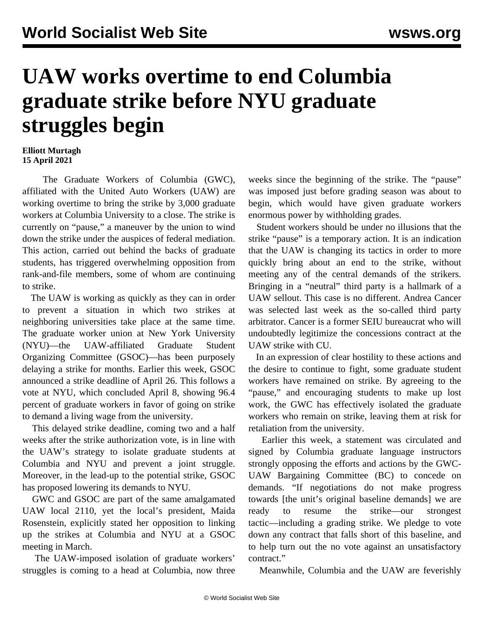## **UAW works overtime to end Columbia graduate strike before NYU graduate struggles begin**

## **Elliott Murtagh 15 April 2021**

 The Graduate Workers of Columbia (GWC), affiliated with the United Auto Workers (UAW) are working overtime to bring the strike by 3,000 graduate workers at Columbia University to a close. The strike is currently on "pause," a maneuver by the union to wind down the strike under the auspices of federal mediation. This action, carried out behind the backs of graduate students, has triggered overwhelming opposition from rank-and-file members, some of whom are continuing to strike.

 The UAW is working as quickly as they can in order to prevent a situation in which two strikes at neighboring universities take place at the same time. The graduate worker union at New York University (NYU)—the UAW-affiliated Graduate Student Organizing Committee (GSOC)—has been purposely delaying a strike for months. Earlier this week, GSOC announced a strike deadline of April 26. This follows a vote at NYU, which concluded April 8, showing 96.4 percent of graduate workers in favor of going on strike to demand a living wage from the university.

 This delayed strike deadline, coming two and a half weeks after the strike authorization vote, is in line with the UAW's strategy to isolate graduate students at Columbia and NYU and prevent a joint struggle. Moreover, in the lead-up to the potential strike, GSOC has proposed lowering its demands to NYU.

 GWC and GSOC are part of the same amalgamated UAW local 2110, yet the local's president, Maida Rosenstein, explicitly stated her opposition to linking up the strikes at Columbia and NYU at a GSOC meeting in March.

 The UAW-imposed isolation of graduate workers' struggles is coming to a head at Columbia, now three weeks since the beginning of the strike. The "pause" was imposed just before grading season was about to begin, which would have given graduate workers enormous power by withholding grades.

 Student workers should be under no illusions that the strike "pause" is a temporary action. It is an indication that the UAW is changing its tactics in order to more quickly bring about an end to the strike, without meeting any of the central demands of the strikers. Bringing in a "neutral" third party is a hallmark of a UAW sellout. This case is no different. Andrea Cancer was selected last week as the so-called third party arbitrator. Cancer is a former SEIU bureaucrat who will undoubtedly legitimize the concessions contract at the UAW strike with CU.

 In an expression of clear hostility to these actions and the desire to continue to fight, some graduate student workers have remained on strike. By agreeing to the "pause," and encouraging students to make up lost work, the GWC has effectively isolated the graduate workers who remain on strike, leaving them at risk for retaliation from the university.

 Earlier this week, a statement was circulated and signed by Columbia graduate language instructors strongly opposing the efforts and actions by the GWC-UAW Bargaining Committee (BC) to concede on demands. "If negotiations do not make progress towards [the unit's original baseline demands] we are ready to resume the strike—our strongest tactic—including a grading strike. We pledge to vote down any contract that falls short of this baseline, and to help turn out the no vote against an unsatisfactory contract."

Meanwhile, Columbia and the UAW are feverishly